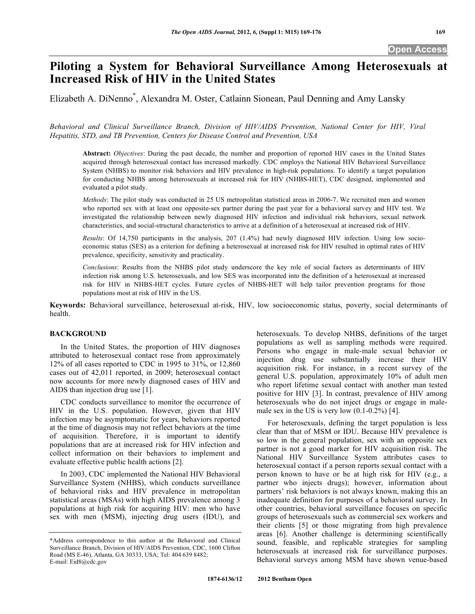# **Piloting a System for Behavioral Surveillance Among Heterosexuals at Increased Risk of HIV in the United States**

Elizabeth A. DiNenno\* , Alexandra M. Oster, Catlainn Sionean, Paul Denning and Amy Lansky

*Behavioral and Clinical Surveillance Branch, Division of HIV/AIDS Prevention, National Center for HIV, Viral Hepatitis, STD, and TB Prevention, Centers for Disease Control and Prevention, USA* 

**Abstract:** *Objectives*: During the past decade, the number and proportion of reported HIV cases in the United States acquired through heterosexual contact has increased markedly. CDC employs the National HIV Behavioral Surveillance System (NHBS) to monitor risk behaviors and HIV prevalence in high-risk populations. To identify a target population for conducting NHBS among heterosexuals at increased risk for HIV (NHBS-HET), CDC designed, implemented and evaluated a pilot study.

*Methods*: The pilot study was conducted in 25 US metropolitan statistical areas in 2006-7. We recruited men and women who reported sex with at least one opposite-sex partner during the past year for a behavioral survey and HIV test. We investigated the relationship between newly diagnosed HIV infection and individual risk behaviors, sexual network characteristics, and social-structural characteristics to arrive at a definition of a heterosexual at increased risk of HIV.

*Results*: Of 14,750 participants in the analysis, 207 (1.4%) had newly diagnosed HIV infection. Using low socioeconomic status (SES) as a criterion for defining a heterosexual at increased risk for HIV resulted in optimal rates of HIV prevalence, specificity, sensitivity and practicality.

*Conclusions*: Results from the NHBS pilot study underscore the key role of social factors as determinants of HIV infection risk among U.S. heterosexuals, and low SES was incorporated into the definition of a heterosexual at increased risk for HIV in NHBS-HET cycles. Future cycles of NHBS-HET will help tailor prevention programs for those populations most at risk of HIV in the US.

**Keywords:** Behavioral surveillance, heterosexual at-risk, HIV, low socioeconomic status, poverty, social determinants of health.

# **BACKGROUND**

 In the United States, the proportion of HIV diagnoses attributed to heterosexual contact rose from approximately 12% of all cases reported to CDC in 1995 to 31%, or 12,860 cases out of 42,011 reported, in 2009; heterosexual contact now accounts for more newly diagnosed cases of HIV and AIDS than injection drug use [1].

 CDC conducts surveillance to monitor the occurrence of HIV in the U.S. population. However, given that HIV infection may be asymptomatic for years, behaviors reported at the time of diagnosis may not reflect behaviors at the time of acquisition. Therefore, it is important to identify populations that are at increased risk for HIV infection and collect information on their behaviors to implement and evaluate effective public health actions [2].

 In 2003, CDC implemented the National HIV Behavioral Surveillance System (NHBS), which conducts surveillance of behavioral risks and HIV prevalence in metropolitan statistical areas (MSAs) with high AIDS prevalence among 3 populations at high risk for acquiring HIV: men who have sex with men (MSM), injecting drug users (IDU), and

heterosexuals. To develop NHBS, definitions of the target populations as well as sampling methods were required. Persons who engage in male-male sexual behavior or injection drug use substantially increase their HIV acquisition risk. For instance, in a recent survey of the general U.S. population, approximately 10% of adult men who report lifetime sexual contact with another man tested positive for HIV [3]. In contrast, prevalence of HIV among heterosexuals who do not inject drugs or engage in malemale sex in the US is very low  $(0.1\n-0.2\%)$  [4].

 For heterosexuals, defining the target population is less clear than that of MSM or IDU. Because HIV prevalence is so low in the general population, sex with an opposite sex partner is not a good marker for HIV acquisition risk. The National HIV Surveillance System attributes cases to heterosexual contact if a person reports sexual contact with a person known to have or be at high risk for HIV (e.g., a partner who injects drugs); however, information about partners' risk behaviors is not always known, making this an inadequate definition for purposes of a behavioral survey. In other countries, behavioral surveillance focuses on specific groups of heterosexuals such as commercial sex workers and their clients [5] or those migrating from high prevalence areas [6]. Another challenge is determining scientifically sound, feasible, and replicable strategies for sampling heterosexuals at increased risk for surveillance purposes. Behavioral surveys among MSM have shown venue-based

<sup>\*</sup>Address correspondence to this author at the Behavioral and Clinical Surveillance Branch, Division of HIV/AIDS Prevention, CDC, 1600 Clifton Road (MS E-46), Atlanta, GA 30333, USA; Tel: 404 639 8482; E-mail: Eid8@cdc.gov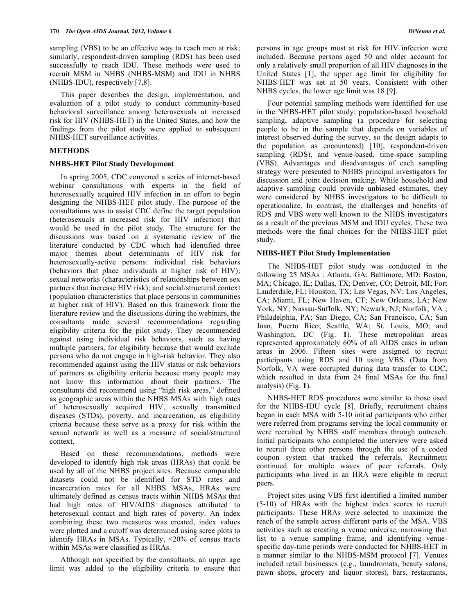sampling (VBS) to be an effective way to reach men at risk; similarly, respondent-driven sampling (RDS) has been used successfully to reach IDU. These methods were used to recruit MSM in NHBS (NHBS-MSM) and IDU in NHBS (NHBS-IDU), respectively [7,8].

 This paper describes the design, implementation, and evaluation of a pilot study to conduct community-based behavioral surveillance among heterosexuals at increased risk for HIV (NHBS-HET) in the United States, and how the findings from the pilot study were applied to subsequent NHBS-HET surveillance activities.

# **METHODS**

# **NHBS-HET Pilot Study Development**

 In spring 2005, CDC convened a series of internet-based webinar consultations with experts in the field of heterosexually acquired HIV infection in an effort to begin designing the NHBS-HET pilot study. The purpose of the consultations was to assist CDC define the target population (heterosexuals at increased risk for HIV infection) that would be used in the pilot study. The structure for the discussions was based on a systematic review of the literature conducted by CDC which had identified three major themes about determinants of HIV risk for heterosexually-active persons: individual risk behaviors (behaviors that place individuals at higher risk of HIV); sexual networks (characteristics of relationships between sex partners that increase HIV risk); and social/structural context (population characteristics that place persons in communities at higher risk of HIV). Based on this framework from the literature review and the discussions during the webinars, the consultants made several recommendations regarding eligibility criteria for the pilot study. They recommended against using individual risk behaviors, such as having multiple partners, for eligibility because that would exclude persons who do not engage in high-risk behavior. They also recommended against using the HIV status or risk behaviors of partners as eligibility criteria because many people may not know this information about their partners. The consultants did recommend using "high risk areas," defined as geographic areas within the NHBS MSAs with high rates of heterosexually acquired HIV, sexually transmitted diseases (STDs), poverty, and incarceration, as eligibility criteria because these serve as a proxy for risk within the sexual network as well as a measure of social/structural context.

 Based on these recommendations, methods were developed to identify high risk areas (HRAs) that could be used by all of the NHBS project sites. Because comparable datasets could not be identified for STD rates and incarceration rates for all NHBS MSAs, HRAs were ultimately defined as census tracts within NHBS MSAs that had high rates of HIV/AIDS diagnoses attributed to heterosexual contact and high rates of poverty. An index combining these two measures was created, index values were plotted and a cutoff was determined using scree plots to identify HRAs in MSAs. Typically, <20% of census tracts within MSAs were classified as HRAs.

 Although not specified by the consultants, an upper age limit was added to the eligibility criteria to ensure that persons in age groups most at risk for HIV infection were included. Because persons aged 50 and older account for only a relatively small proportion of all HIV diagnoses in the United States [1], the upper age limit for eligibility for NHBS-HET was set at 50 years. Consistent with other NHBS cycles, the lower age limit was 18 [9].

 Four potential sampling methods were identified for use in the NHBS-HET pilot study: population-based household sampling, adaptive sampling (a procedure for selecting people to be in the sample that depends on variables of interest observed during the survey, so the design adapts to the population as encountered) [10], respondent-driven sampling (RDS), and venue-based, time-space sampling (VBS). Advantages and disadvantages of each sampling strategy were presented to NHBS principal investigators for discussion and joint decision making. While household and adaptive sampling could provide unbiased estimates, they were considered by NHBS investigators to be difficult to operationalize. In contrast, the challenges and benefits of RDS and VBS were well known to the NHBS investigators as a result of the previous MSM and IDU cycles. These two methods were the final choices for the NHBS-HET pilot study.

# **NHBS-HET Pilot Study Implementation**

 The NHBS-HET pilot study was conducted in the following 25 MSAs : Atlanta, GA; Baltimore, MD; Boston, MA; Chicago, IL; Dallas, TX; Denver, CO; Detroit, MI; Fort Lauderdale, FL; Houston, TX; Las Vegas, NV; Los Angeles, CA; Miami, FL; New Haven, CT; New Orleans, LA; New York, NY; Nassau-Suffolk, NY; Newark, NJ; Norfolk, VA ; Philadelphia, PA; San Diego, CA; San Francisco, CA; San Juan, Puerto Rico; Seattle, WA; St. Louis, MO; and Washington, DC (Fig. **1**). These metropolitan areas represented approximately 60% of all AIDS cases in urban areas in 2006. Fifteen sites were assigned to recruit participants using RDS and 10 using VBS. (Data from Norfolk, VA were corrupted during data transfer to CDC, which resulted in data from 24 final MSAs for the final analysis) (Fig. **1**).

 NHBS-HET RDS procedures were similar to those used for the NHBS-IDU cycle [8]. Briefly, recruitment chains began in each MSA with 5-10 initial participants who either were referred from programs serving the local community or were recruited by NHBS staff members through outreach. Initial participants who completed the interview were asked to recruit three other persons through the use of a coded coupon system that tracked the referrals. Recruitment continued for multiple waves of peer referrals. Only participants who lived in an HRA were eligible to recruit peers.

 Project sites using VBS first identified a limited number (5-10) of HRAs with the highest index scores to recruit participants. These HRAs were selected to maximize the reach of the sample across different parts of the MSA. VBS activities such as creating a venue universe, narrowing that list to a venue sampling frame, and identifying venuespecific day-time periods were conducted for NHBS-HET in a manner similar to the NHBS-MSM protocol [7]. Venues included retail businesses (e.g., laundromats, beauty salons, pawn shops, grocery and liquor stores), bars, restaurants,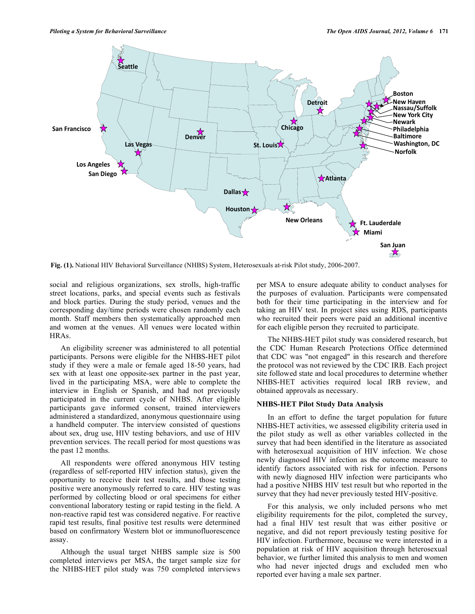

**Fig. (1).** National HIV Behavioral Surveillance (NHBS) System, Heterosexuals at-risk Pilot study, 2006-2007.

social and religious organizations, sex strolls, high-traffic street locations, parks, and special events such as festivals and block parties. During the study period, venues and the corresponding day/time periods were chosen randomly each month. Staff members then systematically approached men and women at the venues. All venues were located within HRAs.

 An eligibility screener was administered to all potential participants. Persons were eligible for the NHBS-HET pilot study if they were a male or female aged 18-50 years, had sex with at least one opposite-sex partner in the past year, lived in the participating MSA, were able to complete the interview in English or Spanish, and had not previously participated in the current cycle of NHBS. After eligible participants gave informed consent, trained interviewers administered a standardized, anonymous questionnaire using a handheld computer. The interview consisted of questions about sex, drug use, HIV testing behaviors, and use of HIV prevention services. The recall period for most questions was the past 12 months.

 All respondents were offered anonymous HIV testing (regardless of self-reported HIV infection status), given the opportunity to receive their test results, and those testing positive were anonymously referred to care. HIV testing was performed by collecting blood or oral specimens for either conventional laboratory testing or rapid testing in the field. A non-reactive rapid test was considered negative. For reactive rapid test results, final positive test results were determined based on confirmatory Western blot or immunofluorescence assay.

 Although the usual target NHBS sample size is 500 completed interviews per MSA, the target sample size for the NHBS-HET pilot study was 750 completed interviews

per MSA to ensure adequate ability to conduct analyses for the purposes of evaluation. Participants were compensated both for their time participating in the interview and for taking an HIV test. In project sites using RDS, participants who recruited their peers were paid an additional incentive for each eligible person they recruited to participate.

 The NHBS-HET pilot study was considered research, but the CDC Human Research Protections Office determined that CDC was "not engaged" in this research and therefore the protocol was not reviewed by the CDC IRB. Each project site followed state and local procedures to determine whether NHBS-HET activities required local IRB review, and obtained approvals as necessary.

# **NHBS-HET Pilot Study Data Analysis**

 In an effort to define the target population for future NHBS-HET activities, we assessed eligibility criteria used in the pilot study as well as other variables collected in the survey that had been identified in the literature as associated with heterosexual acquisition of HIV infection. We chose newly diagnosed HIV infection as the outcome measure to identify factors associated with risk for infection. Persons with newly diagnosed HIV infection were participants who had a positive NHBS HIV test result but who reported in the survey that they had never previously tested HIV-positive.

 For this analysis, we only included persons who met eligibility requirements for the pilot, completed the survey, had a final HIV test result that was either positive or negative, and did not report previously testing positive for HIV infection. Furthermore, because we were interested in a population at risk of HIV acquisition through heterosexual behavior, we further limited this analysis to men and women who had never injected drugs and excluded men who reported ever having a male sex partner.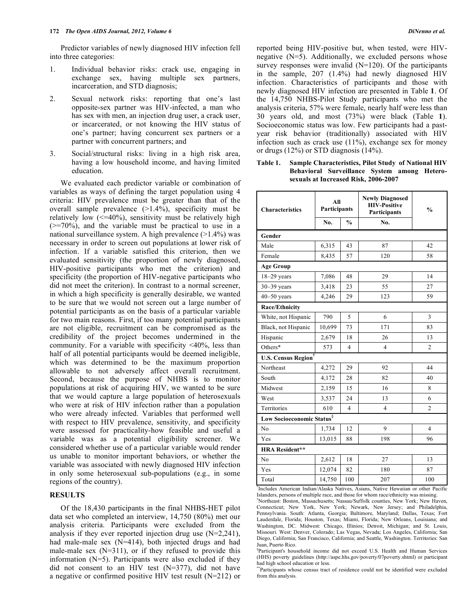Predictor variables of newly diagnosed HIV infection fell into three categories:

- 1. Individual behavior risks: crack use, engaging in exchange sex, having multiple sex partners, incarceration, and STD diagnosis;
- 2. Sexual network risks: reporting that one's last opposite-sex partner was HIV-infected, a man who has sex with men, an injection drug user, a crack user, or incarcerated, or not knowing the HIV status of one's partner; having concurrent sex partners or a partner with concurrent partners; and
- 3. Social/structural risks: living in a high risk area, having a low household income, and having limited education.

 We evaluated each predictor variable or combination of variables as ways of defining the target population using 4 criteria: HIV prevalence must be greater than that of the overall sample prevalence (>1.4%), specificity must be relatively low  $\left($  <=40%), sensitivity must be relatively high  $(>=70\%)$ , and the variable must be practical to use in a national surveillance system. A high prevalence (>1.4%) was necessary in order to screen out populations at lower risk of infection. If a variable satisfied this criterion, then we evaluated sensitivity (the proportion of newly diagnosed, HIV-positive participants who met the criterion) and specificity (the proportion of HIV-negative participants who did not meet the criterion). In contrast to a normal screener, in which a high specificity is generally desirable, we wanted to be sure that we would not screen out a large number of potential participants as on the basis of a particular variable for two main reasons. First, if too many potential participants are not eligible, recruitment can be compromised as the credibility of the project becomes undermined in the community. For a variable with specificity <40%, less than half of all potential participants would be deemed ineligible, which was determined to be the maximum proportion allowable to not adversely affect overall recruitment. Second, because the purpose of NHBS is to monitor populations at risk of acquiring HIV, we wanted to be sure that we would capture a large population of heterosexuals who were at risk of HIV infection rather than a population who were already infected. Variables that performed well with respect to HIV prevalence, sensitivity, and specificity were assessed for practicality-how feasible and useful a variable was as a potential eligibility screener. We considered whether use of a particular variable would render us unable to monitor important behaviors, or whether the variable was associated with newly diagnosed HIV infection in only some heterosexual sub-populations (e.g., in some regions of the country).

# **RESULTS**

 Of the 18,430 participants in the final NHBS-HET pilot data set who completed an interview, 14,750 (80%) met our analysis criteria. Participants were excluded from the analysis if they ever reported injection drug use (N=2,241), had male-male sex (N=414), both injected drugs and had male-male sex  $(N=311)$ , or if they refused to provide this information  $(N=5)$ . Participants were also excluded if they did not consent to an HIV test  $(N=377)$ , did not have a negative or confirmed positive HIV test result (N=212) or

reported being HIV-positive but, when tested, were HIVnegative (N=5). Additionally, we excluded persons whose survey responses were invalid  $(N=120)$ . Of the participants in the sample, 207 (1.4%) had newly diagnosed HIV infection. Characteristics of participants and those with newly diagnosed HIV infection are presented in Table **1**. Of the 14,750 NHBS-Pilot Study participants who met the analysis criteria, 57% were female, nearly half were less than

30 years old, and most (73%) were black (Table **1**). Socioeconomic status was low. Few participants had a pastyear risk behavior (traditionally) associated with HIV infection such as crack use  $(11\%)$ , exchange sex for money or drugs (12%) or STD diagnosis (14%).

**Table 1. Sample Characteristics, Pilot Study of National HIV Behavioral Surveillance System among Heterosexuals at Increased Risk, 2006-2007** 

| <b>Characteristics</b>                 | All<br>Participants |                          | <b>Newly Diagnosed</b><br><b>HIV-Positive</b><br>Participants | $\frac{0}{0}$  |  |  |  |  |  |
|----------------------------------------|---------------------|--------------------------|---------------------------------------------------------------|----------------|--|--|--|--|--|
|                                        | No.                 | $\frac{0}{0}$            | No.                                                           |                |  |  |  |  |  |
| Gender                                 |                     |                          |                                                               |                |  |  |  |  |  |
| Male                                   | 6,315               | 43                       | 87                                                            | 42             |  |  |  |  |  |
| Female                                 | 8,435               | 57                       | 120                                                           | 58             |  |  |  |  |  |
| <b>Age Group</b>                       |                     |                          |                                                               |                |  |  |  |  |  |
| $18-29$ years                          | 7,086               | 48                       | 29                                                            | 14             |  |  |  |  |  |
| $30 - 39$ years                        | 3,418               | 23                       | 55                                                            | 27             |  |  |  |  |  |
| $40 - 50$ years                        | 4,246               | 29                       | 123                                                           | 59             |  |  |  |  |  |
| <b>Race/Ethnicity</b>                  |                     |                          |                                                               |                |  |  |  |  |  |
| White, not Hispanic                    | 790                 | 5                        | 6                                                             | 3              |  |  |  |  |  |
| Black, not Hispanic                    | 10,699              | 73                       | 171                                                           | 83             |  |  |  |  |  |
| Hispanic                               | 2,679               | 18                       | 26                                                            | 13             |  |  |  |  |  |
| Others*                                | 573                 | $\overline{4}$           | $\overline{4}$                                                | $\overline{c}$ |  |  |  |  |  |
| <b>U.S. Census Region</b> <sup>†</sup> |                     |                          |                                                               |                |  |  |  |  |  |
| Northeast                              | 4,272               | 29                       | 92                                                            | 44             |  |  |  |  |  |
| South                                  | 4,172               | 28                       | 82                                                            | 40             |  |  |  |  |  |
| Midwest                                | 2,159               | 15                       | 16                                                            | 8              |  |  |  |  |  |
| West                                   | 3,537               | 24                       | 13                                                            | 6              |  |  |  |  |  |
| Territories                            | 610                 | $\overline{\mathcal{L}}$ | $\overline{4}$                                                | $\overline{c}$ |  |  |  |  |  |
| Low Socioeconomic Status <sup>§</sup>  |                     |                          |                                                               |                |  |  |  |  |  |
| No                                     | 1,734               | 12                       | 9                                                             | 4              |  |  |  |  |  |
| Yes                                    | 13,015              | 88                       | 198                                                           | 96             |  |  |  |  |  |
| <b>HRA Resident**</b>                  |                     |                          |                                                               |                |  |  |  |  |  |
| N <sub>o</sub>                         | 2,612               | 18                       | 27                                                            | 13             |  |  |  |  |  |
| Yes                                    | 12,074              | 82                       | 180                                                           | 87             |  |  |  |  |  |
| Total                                  | 14,750              | 100                      | 207                                                           | 100            |  |  |  |  |  |

\* Includes American Indian/Alaska Natives, Asians, Native Hawaiian or other Pacific Islanders, persons of multiple race, and those for whom race/ethnicity was missing.

† Northeast: Boston, Massachusetts; Nassau/Suffolk counties, New York; New Haven, Connecticut; New York, New York; Newark, New Jersey; and Philadelphia, Pennsylvania. South: Atlanta, Georgia; Baltimore, Maryland; Dallas, Texas; Fort Lauderdale, Florida; Houston, Texas; Miami, Florida; New Orleans, Louisiana; and Washington, DC. Midwest: Chicago, Illinios; Detroit, Michigan; and St. Louis, Missouri. West: Denver, Colorado; Las Vegas, Nevada; Los Angeles, California; San Diego, California; San Francisco, California; and Seattle, Washington. Territories: San Juan, Puerto Rico.

§ Participant's household income did not exceed U.S. Health and Human Services (HHS) poverty guidelines (http://aspe.hhs.gov/poverty/07poverty.shtml) or participant had high school education or less.

\*\*Participants whose census tract of residence could not be identified were excluded from this analysis.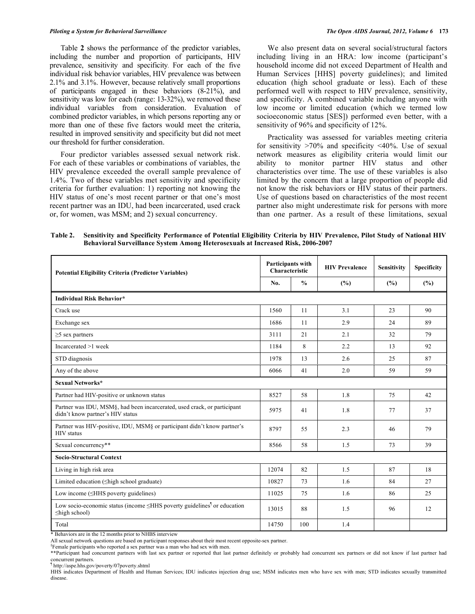Table **2** shows the performance of the predictor variables, including the number and proportion of participants, HIV prevalence, sensitivity and specificity. For each of the five individual risk behavior variables, HIV prevalence was between 2.1% and 3.1%. However, because relatively small proportions of participants engaged in these behaviors (8-21%), and sensitivity was low for each (range: 13-32%), we removed these individual variables from consideration. Evaluation of combined predictor variables, in which persons reporting any or more than one of these five factors would meet the criteria, resulted in improved sensitivity and specificity but did not meet our threshold for further consideration.

 Four predictor variables assessed sexual network risk. For each of these variables or combinations of variables, the HIV prevalence exceeded the overall sample prevalence of 1.4%. Two of these variables met sensitivity and specificity criteria for further evaluation: 1) reporting not knowing the HIV status of one's most recent partner or that one's most recent partner was an IDU, had been incarcerated, used crack or, for women, was MSM; and 2) sexual concurrency.

 We also present data on several social/structural factors including living in an HRA: low income (participant's household income did not exceed Department of Health and Human Services [HHS] poverty guidelines); and limited education (high school graduate or less). Each of these performed well with respect to HIV prevalence, sensitivity, and specificity. A combined variable including anyone with low income or limited education (which we termed low socioeconomic status [SES]) performed even better, with a sensitivity of 96% and specificity of 12%.

 Practicality was assessed for variables meeting criteria for sensitivity  $>70\%$  and specificity  $\leq 40\%$ . Use of sexual network measures as eligibility criteria would limit our ability to monitor partner HIV status and other characteristics over time. The use of these variables is also limited by the concern that a large proportion of people did not know the risk behaviors or HIV status of their partners. Use of questions based on characteristics of the most recent partner also might underestimate risk for persons with more than one partner. As a result of these limitations, sexual

**Table 2. Sensitivity and Specificity Performance of Potential Eligibility Criteria by HIV Prevalence, Pilot Study of National HIV Behavioral Surveillance System Among Heterosexuals at Increased Risk, 2006-2007** 

| <b>Potential Eligibility Criteria (Predictor Variables)</b>                                                      |       | Participants with<br>Characteristic | <b>HIV Prevalence</b> | <b>Sensitivity</b> | <b>Specificity</b> |  |  |  |  |
|------------------------------------------------------------------------------------------------------------------|-------|-------------------------------------|-----------------------|--------------------|--------------------|--|--|--|--|
|                                                                                                                  |       | $\frac{0}{0}$                       | (%)                   | (%)                | (%)                |  |  |  |  |
| <b>Individual Risk Behavior*</b>                                                                                 |       |                                     |                       |                    |                    |  |  |  |  |
| Crack use                                                                                                        | 1560  | 11                                  | 3.1                   | 23                 | 90                 |  |  |  |  |
| Exchange sex                                                                                                     | 1686  | 11                                  | 2.9                   | 24                 | 89                 |  |  |  |  |
| $\geq$ 5 sex partners                                                                                            | 3111  | 21                                  | 2.1                   | 32                 | 79                 |  |  |  |  |
| Incarcerated >1 week                                                                                             | 1184  | 8                                   | 2.2                   | 13                 | 92                 |  |  |  |  |
| STD diagnosis                                                                                                    | 1978  | 13                                  | 2.6                   | 25                 | 87                 |  |  |  |  |
| Any of the above                                                                                                 | 6066  | 41                                  | 2.0                   | 59                 | 59                 |  |  |  |  |
| Sexual Networks*                                                                                                 |       |                                     |                       |                    |                    |  |  |  |  |
| Partner had HIV-positive or unknown status                                                                       | 8527  | 58                                  | 1.8                   | 75                 | 42                 |  |  |  |  |
| Partner was IDU, MSM§, had been incarcerated, used crack, or participant<br>didn't know partner's HIV status     | 5975  | 41                                  | 1.8                   | 77                 | 37                 |  |  |  |  |
| Partner was HIV-positive, IDU, MSM§ or participant didn't know partner's<br><b>HIV</b> status                    | 8797  | 55                                  | 2.3                   | 46                 | 79                 |  |  |  |  |
| Sexual concurrency**                                                                                             | 8566  | 58                                  | 1.5                   | 73                 | 39                 |  |  |  |  |
| <b>Socio-Structural Context</b>                                                                                  |       |                                     |                       |                    |                    |  |  |  |  |
| Living in high risk area                                                                                         | 12074 | 82                                  | 1.5                   | 87                 | 18                 |  |  |  |  |
| Limited education (Shigh school graduate)                                                                        | 10827 | 73                                  | 1.6                   | 84                 | 27                 |  |  |  |  |
| Low income $(\leq HHS$ poverty guidelines)                                                                       | 11025 | 75                                  | 1.6                   | 86                 | 25                 |  |  |  |  |
| Low socio-economic status (income $\leq$ HHS poverty guidelines <sup>1</sup> or education<br>$\leq$ high school) |       | 88                                  | 1.5                   | 96                 | 12                 |  |  |  |  |
| Total                                                                                                            | 14750 | 100                                 | 1.4                   |                    |                    |  |  |  |  |

\* Behaviors are in the 12 months prior to NHBS interview

 $$F$ emale participants who reported a sex partner was a man who had sex with men.

\*\*Participant had concurrent partners with last sex partner or reported that last partner definitely or probably had concurrent sex partners or did not know if last partner had concurrent partners.

¶ http://aspe.hhs.gov/poverty/07poverty.shtml

HHS indicates Department of Health and Human Services; IDU indicates injection drug use; MSM indicates men who have sex with men; STD indicates sexually transmitted disease.

All sexual network questions are based on participant responses about their most recent opposite-sex partner.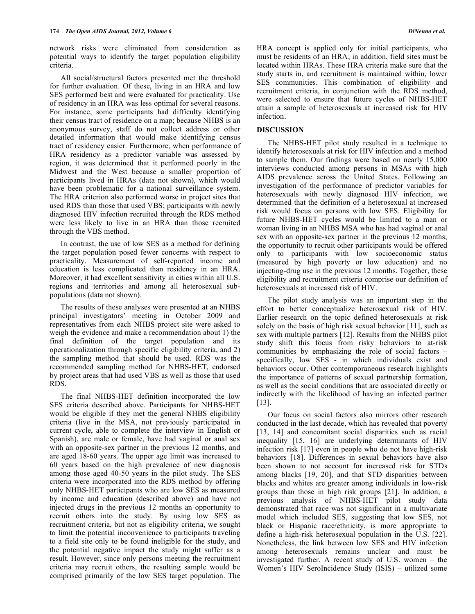network risks were eliminated from consideration as potential ways to identify the target population eligibility criteria.

 All social/structural factors presented met the threshold for further evaluation. Of these, living in an HRA and low SES performed best and were evaluated for practicality. Use of residency in an HRA was less optimal for several reasons. For instance, some participants had difficulty identifying their census tract of residence on a map; because NHBS is an anonymous survey, staff do not collect address or other detailed information that would make identifying census tract of residency easier. Furthermore, when performance of HRA residency as a predictor variable was assessed by region, it was determined that it performed poorly in the Midwest and the West because a smaller proportion of participants lived in HRAs (data not shown), which would have been problematic for a national surveillance system. The HRA criterion also performed worse in project sites that used RDS than those that used VBS; participants with newly diagnosed HIV infection recruited through the RDS method were less likely to live in an HRA than those recruited through the VBS method.

 In contrast, the use of low SES as a method for defining the target population posed fewer concerns with respect to practicality. Measurement of self-reported income and education is less complicated than residency in an HRA. Moreover, it had excellent sensitivity in cities within all U.S. regions and territories and among all heterosexual subpopulations (data not shown).

 The results of these analyses were presented at an NHBS principal investigators' meeting in October 2009 and representatives from each NHBS project site were asked to weigh the evidence and make a recommendation about 1) the final definition of the target population and its operationalization through specific eligibility criteria, and 2) the sampling method that should be used. RDS was the recommended sampling method for NHBS-HET, endorsed by project areas that had used VBS as well as those that used RDS.

 The final NHBS-HET definition incorporated the low SES criteria described above. Participants for NHBS-HET would be eligible if they met the general NHBS eligibility criteria (live in the MSA, not previously participated in current cycle, able to complete the interview in English or Spanish), are male or female, have had vaginal or anal sex with an opposite-sex partner in the previous 12 months, and are aged 18-60 years. The upper age limit was increased to 60 years based on the high prevalence of new diagnosis among those aged 40-50 years in the pilot study. The SES criteria were incorporated into the RDS method by offering only NHBS-HET participants who are low SES as measured by income and education (described above) and have not injected drugs in the previous 12 months an opportunity to recruit others into the study. By using low SES as recruitment criteria, but not as eligibility criteria, we sought to limit the potential inconvenience to participants traveling to a field site only to be found ineligible for the study, and the potential negative impact the study might suffer as a result. However, since only persons meeting the recruitment criteria may recruit others, the resulting sample would be comprised primarily of the low SES target population. The

HRA concept is applied only for initial participants, who must be residents of an HRA; in addition, field sites must be located within HRAs. These HRA criteria make sure that the study starts in, and recruitment is maintained within, lower SES communities. This combination of eligibility and recruitment criteria, in conjunction with the RDS method, were selected to ensure that future cycles of NHBS-HET attain a sample of heterosexuals at increased risk for HIV infection.

# **DISCUSSION**

 The NHBS-HET pilot study resulted in a technique to identify heterosexuals at risk for HIV infection and a method to sample them. Our findings were based on nearly 15,000 interviews conducted among persons in MSAs with high AIDS prevalence across the United States. Following an investigation of the performance of predictor variables for heterosexuals with newly diagnosed HIV infection, we determined that the definition of a heterosexual at increased risk would focus on persons with low SES. Eligibility for future NHBS-HET cycles would be limited to a man or woman living in an NHBS MSA who has had vaginal or anal sex with an opposite-sex partner in the previous 12 months; the opportunity to recruit other participants would be offered only to participants with low socioeconomic status (measured by high poverty or low education) and no injecting-drug use in the previous 12 months. Together, these eligibility and recruitment criteria comprise our definition of heterosexuals at increased risk of HIV.

 The pilot study analysis was an important step in the effort to better conceptualize heterosexual risk of HIV. Earlier research on the topic defined heterosexuals at risk solely on the basis of high risk sexual behavior [11], such as sex with multiple partners [12]. Results from the NHBS pilot study shift this focus from risky behaviors to at-risk communities by emphasizing the role of social factors – specifically, low SES - in which individuals exist and behaviors occur. Other contemporaneous research highlights the importance of patterns of sexual partnership formation, as well as the social conditions that are associated directly or indirectly with the likelihood of having an infected partner  $[13]$ .

 Our focus on social factors also mirrors other research conducted in the last decade, which has revealed that poverty [13, 14] and concomitant social disparities such as racial inequality [15, 16] are underlying determinants of HIV infection risk [17] even in people who do not have high-risk behaviors [18]. Differences in sexual behaviors have also been shown to not account for increased risk for STDs among blacks [19, 20], and that STD disparities between blacks and whites are greater among individuals in low-risk groups than those in high risk groups [21]. In addition, a previous analysis of NHBS-HET pilot study data demonstrated that race was not significant in a multivariate model which included SES, suggesting that low SES, not black or Hispanic race/ethnicity, is more appropriate to define a high-risk heterosexual population in the U.S. [22]. Nonetheless, the link between low SES and HIV infection among heterosexuals remains unclear and must be investigated further. A recent study of U.S. women – the Women's HIV SeroIncidence Study (ISIS) – utilized some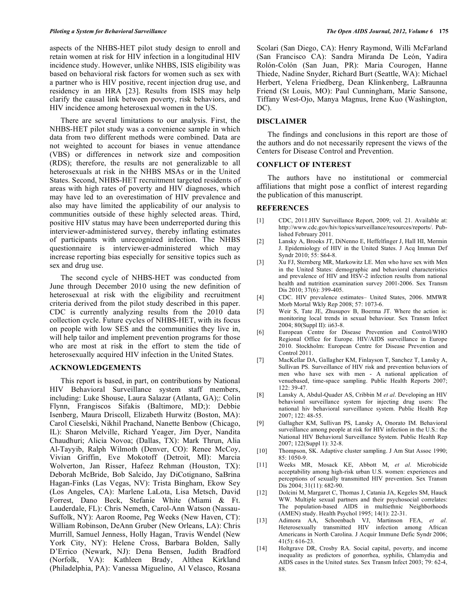aspects of the NHBS-HET pilot study design to enroll and retain women at risk for HIV infection in a longitudinal HIV incidence study. However, unlike NHBS, ISIS eligibility was based on behavioral risk factors for women such as sex with a partner who is HIV positive, recent injection drug use, and residency in an HRA [23]. Results from ISIS may help clarify the causal link between poverty, risk behaviors, and HIV incidence among heterosexual women in the US.

 There are several limitations to our analysis. First, the NHBS-HET pilot study was a convenience sample in which data from two different methods were combined. Data are not weighted to account for biases in venue attendance (VBS) or differences in network size and composition (RDS); therefore, the results are not generalizable to all heterosexuals at risk in the NHBS MSAs or in the United States. Second, NHBS-HET recruitment targeted residents of areas with high rates of poverty and HIV diagnoses, which may have led to an overestimation of HIV prevalence and also may have limited the applicability of our analysis to communities outside of these highly selected areas. Third, positive HIV status may have been underreported during this interviewer-administered survey, thereby inflating estimates of participants with unrecognized infection. The NHBS questionnaire is interviewer-administered which may increase reporting bias especially for sensitive topics such as sex and drug use.

 The second cycle of NHBS-HET was conducted from June through December 2010 using the new definition of heterosexual at risk with the eligibility and recruitment criteria derived from the pilot study described in this paper. CDC is currently analyzing results from the 2010 data collection cycle. Future cycles of NHBS-HET, with its focus on people with low SES and the communities they live in, will help tailor and implement prevention programs for those who are most at risk in the effort to stem the tide of heterosexually acquired HIV infection in the United States.

## **ACKNOWLEDGEMENTS**

 This report is based, in part, on contributions by National HIV Behavioral Surveillance system staff members, including: Luke Shouse, Laura Salazar (Atlanta, GA);: Colin Flynn, Frangiscos Sifakis (Baltimore, MD;): Debbie Isenberg, Maura Driscoll, Elizabeth Hurwitz (Boston, MA): Carol Cieselski, Nikhil Prachand, Nanette Benbow (Chicago, IL): Sharon Melville, Richard Yeager, Jim Dyer, Nandita Chaudhuri; Alicia Novoa; (Dallas, TX): Mark Thrun, Alia Al-Tayyib, Ralph Wilmoth (Denver, CO): Renee McCoy, Vivian Griffin, Eve Mokotoff (Detroit, MI): Marcia Wolverton, Jan Risser, Hafeez Rehman (Houston, TX): Deborah McBride, Bob Salcido, Jay DiCotignano, SaBrina Hagan-Finks (Las Vegas, NV): Trista Bingham, Ekow Sey (Los Angeles, CA): Marlene LaLota, Lisa Metsch, David Forrest, Dano Beck, Stefanie White (Miami & Ft. Lauderdale, FL): Chris Nemeth, Carol-Ann Watson (Nassau-Suffolk, NY): Aaron Roome, Peg Weeks (New Haven, CT): William Robinson, DeAnn Gruber (New Orleans, LA): Chris Murrill, Samuel Jenness, Holly Hagan, Travis Wendel (New York City, NY): Helene Cross, Barbara Bolden, Sally D'Errico (Newark, NJ): Dena Bensen, Judith Bradford (Norfolk, VA): Kathleen Brady, Althea Kirkland (Philadelphia, PA): Vanessa Miguelino, Al Velasco, Rosana

Scolari (San Diego, CA): Henry Raymond, Willi McFarland (San Francisco CA): Sandra Miranda De León, Yadira Rolón-Colón (San Juan, PR): Maria Courogen, Hanne Thiede, Nadine Snyder, Richard Burt (Seattle, WA): Michael Herbert, Yelena Friedberg, Dean Klinkenberg, LaBraunna Friend (St Louis, MO): Paul Cunningham, Marie Sansone, Tiffany West-Ojo, Manya Magnus, Irene Kuo (Washington, DC).

#### **DISCLAIMER**

 The findings and conclusions in this report are those of the authors and do not necessarily represent the views of the Centers for Disease Control and Prevention.

#### **CONFLICT OF INTEREST**

 The authors have no institutional or commercial affiliations that might pose a conflict of interest regarding the publication of this manuscript.

#### **REFERENCES**

- [1] CDC, 2011.HIV Surveillance Report, 2009; vol. 21. Available at: http://www.cdc.gov/hiv/topics/surveillance/resources/reports/. Published February 2011.
- [2] Lansky A, Brooks JT, DiNenno E, Heffelfinger J, Hall HI, Mermin J. Epidemiology of HIV in the United States. J Acq Immun Def Syndr 2010; 55: S64-8.
- [3] Xu FJ, Sternberg MR, Markowitz LE. Men who have sex with Men in the United States: demographic and behavioral characteristics and prevalence of HIV and HSV-2 infection results from national health and nutrition examination survey 2001-2006. Sex Transm Dis 2010; 37(6): 399-405.
- [4] CDC. HIV prevalence estimates– United States, 2006. MMWR Morb Mortal Wkly Rep 2008; 57: 1073-6.
- [5] Weir S, Tate JE, Zhusupov B, Boerma JT. Where the action is: monitoring local trends in sexual behaviour. Sex Transm Infect 2004; 80(Suppl II): ii63-8.
- [6] European Centre for Disease Prevention and Control/WHO Regional Office for Europe. HIV/AIDS surveillance in Europe 2010. Stockholm: European Centre for Disease Prevention and Control 2011.
- [7] MacKellar DA, Gallagher KM, Finlayson T, Sanchez T, Lansky A, Sullivan PS. Surveillance of HIV risk and prevention behaviors of men who have sex with men - A national application of venuebased, time-space sampling. Public Health Reports 2007; 122: 39-47.
- [8] Lansky A, Abdul-Quader AS, Cribbin M *et al*. Developing an HIV behavioral surveillance system for injecting drug users: The national hiv behavioral surveillance system. Public Health Rep 2007; 122: 48-55.
- [9] Gallagher KM, Sullivan PS, Lansky A, Onorato IM. Behavioral surveillance among people at risk for HIV infection in the U.S.: the National HIV Behavioral Surveillance System. Public Health Rep 2007; 122(Suppl 1): 32-8.
- [10] Thompson, SK. Adaptive cluster sampling. J Am Stat Assoc 1990; 85: 1050-9.
- [11] Weeks MR, Mosack KE, Abbott M, *et al*. Microbicide acceptability among high-risk urban U.S. women: experiences and perceptions of sexually transmitted HIV prevention. Sex Transm Dis 2004; 31(11): 682-90.
- [12] Dolcini M, Margaret C, Thomas J, Catania JA, Kegeles SM, Hauck WW. Multiple sexual partners and their psychosocial correlates: The population-based AIDS in multiethnic Neighborhoods (AMEN) study. Health Psychol 1995; 14(1): 22-31.
- [13] Adimora AA, Schoenbach VJ, Martinson FEA, *et al*. Heterosexually transmitted HIV infection among African Americans in North Carolina. J Acquir Immune Defic Syndr 2006; 41(5): 616-23.
- [14] Holtgrave DR, Crosby RA. Social capital, poverty, and income inequality as predictors of gonorrhea, syphilis, Chlamydia and AIDS cases in the United states. Sex Transm Infect 2003; 79: 62-4, 88.